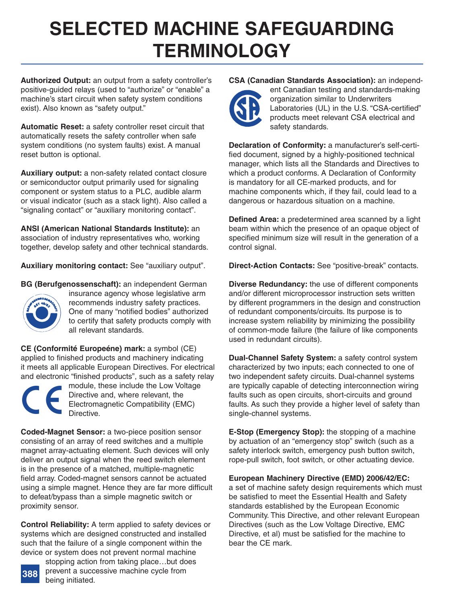# **[SELECTED MACHINE SAFEGUARDING](http://www.schmersalusa.com/cms17/opencms/html/en/index.html) TERMINOLOGY**

**Authorized Output:** an output from a safety controller's positive-guided relays (used to "authorize" or "enable" a machine's start circuit when safety system conditions exist). Also known as "safety output."

**Automatic Reset:** a safety controller reset circuit that automatically resets the safety controller when safe system conditions (no system faults) exist. A manual reset button is optional.

**Auxiliary output:** a non-safety related contact closure or semiconductor output primarily used for signaling component or system status to a PLC, audible alarm or visual indicator (such as a stack light). Also called a "signaling contact" or "auxiliary monitoring contact".

**ANSI (American National Standards Institute):** an association of industry representatives who, working together, develop safety and other technical standards.

**Auxiliary monitoring contact:** See "auxiliary output".

**BG (Berufgenossenschaft):** an independent German



insurance agency whose legislative arm recommends industry safety practices. One of many "notified bodies" authorized to certify that safety products comply with all relevant standards.

**CE (Conformité Europeéne) mark:** a symbol (CE) applied to finished products and machinery indicating it meets all applicable European Directives. For electrical and electronic "finished products", such as a safety relay



module, these include the Low Voltage Directive and, where relevant, the Electromagnetic Compatibility (EMC) Directive.

**Coded-Magnet Sensor:** a two-piece position sensor consisting of an array of reed switches and a multiple magnet array-actuating element. Such devices will only deliver an output signal when the reed switch element is in the presence of a matched, multiple-magnetic field array. Coded-magnet sensors cannot be actuated using a simple magnet. Hence they are far more difficult to defeat/bypass than a simple magnetic switch or proximity sensor.

**Control Reliability:** A term applied to safety devices or systems which are designed constructed and installed such that the failure of a single component within the device or system does not prevent normal machine



stopping action from taking place…but does prevent a successive machine cycle from being initiated.

# **CSA (Canadian Standards Association):** an independ-



ent Canadian testing and standards-making organization similar to Underwriters Laboratories (UL) in the U.S. "CSA-certified" products meet relevant CSA electrical and safety standards.

**Declaration of Conformity:** a manufacturer's self-certified document, signed by a highly-positioned technical manager, which lists all the Standards and Directives to which a product conforms. A Declaration of Conformity is mandatory for all CE-marked products, and for machine components which, if they fail, could lead to a dangerous or hazardous situation on a machine.

**Defined Area:** a predetermined area scanned by a light beam within which the presence of an opaque object of specified minimum size will result in the generation of a control signal.

**Direct-Action Contacts:** See "positive-break" contacts.

**Diverse Redundancy:** the use of different components and/or different microprocessor instruction sets written by different programmers in the design and construction of redundant components/circuits. Its purpose is to increase system reliability by minimizing the possibility of common-mode failure (the failure of like components used in redundant circuits).

**Dual-Channel Safety System:** a safety control system characterized by two inputs; each connected to one of two independent safety circuits. Dual-channel systems are typically capable of detecting interconnection wiring faults such as open circuits, short-circuits and ground faults. As such they provide a higher level of safety than single-channel systems.

**E-Stop (Emergency Stop):** the stopping of a machine by actuation of an "emergency stop" switch (such as a safety interlock switch, emergency push button switch, rope-pull switch, foot switch, or other actuating device.

**European Machinery Directive (EMD) 2006/42/EC:** a set of machine safety design requirements which must be satisfied to meet the Essential Health and Safety standards established by the European Economic Community. This Directive, and other relevant European Directives (such as the Low Voltage Directive, EMC Directive, et al) must be satisfied for the machine to bear the CE mark.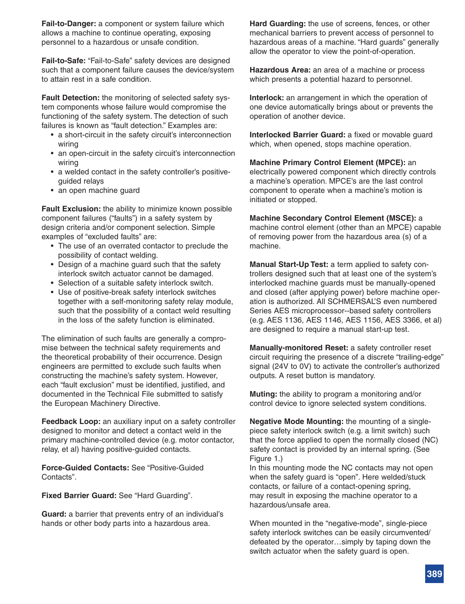**Fail-to-Danger:** a component or system failure which allows a machine to continue operating, exposing personnel to a hazardous or unsafe condition.

**Fail-to-Safe:** "Fail-to-Safe" safety devices are designed such that a component failure causes the device/system to attain rest in a safe condition.

**Fault Detection:** the monitoring of selected safety system components whose failure would compromise the functioning of the safety system. The detection of such failures is known as "fault detection." Examples are:

- a short-circuit in the safety circuit's interconnection wiring
- an open-circuit in the safety circuit's interconnection wiring
- a welded contact in the safety controller's positiveguided relays
- an open machine guard

**Fault Exclusion:** the ability to minimize known possible component failures ("faults") in a safety system by design criteria and/or component selection. Simple examples of "excluded faults" are:

- The use of an overrated contactor to preclude the possibility of contact welding.
- Design of a machine guard such that the safety interlock switch actuator cannot be damaged.
- Selection of a suitable safety interlock switch.
- Use of positive-break safety interlock switches together with a self-monitoring safety relay module, such that the possibility of a contact weld resulting in the loss of the safety function is eliminated.

The elimination of such faults are generally a compromise between the technical safety requirements and the theoretical probability of their occurrence. Design engineers are permitted to exclude such faults when constructing the machine's safety system. However, each "fault exclusion" must be identified, justified, and documented in the Technical File submitted to satisfy the European Machinery Directive.

**Feedback Loop:** an auxiliary input on a safety controller designed to monitor and detect a contact weld in the primary machine-controlled device (e.g. motor contactor, relay, et al) having positive-guided contacts.

**Force-Guided Contacts:** See "Positive-Guided Contacts".

**Fixed Barrier Guard:** See "Hard Guarding".

**Guard:** a barrier that prevents entry of an individual's hands or other body parts into a hazardous area.

**Hard Guarding:** the use of screens, fences, or other mechanical barriers to prevent access of personnel to hazardous areas of a machine. "Hard guards" generally allow the operator to view the point-of-operation.

**Hazardous Area:** an area of a machine or process which presents a potential hazard to personnel.

**Interlock:** an arrangement in which the operation of one device automatically brings about or prevents the operation of another device.

**Interlocked Barrier Guard:** a fixed or movable guard which, when opened, stops machine operation.

**Machine Primary Control Element (MPCE):** an electrically powered component which directly controls a machine's operation. MPCE's are the last control component to operate when a machine's motion is initiated or stopped.

**Machine Secondary Control Element (MSCE):** a machine control element (other than an MPCE) capable of removing power from the hazardous area (s) of a machine.

**Manual Start-Up Test:** a term applied to safety controllers designed such that at least one of the system's interlocked machine guards must be manually-opened and closed (after applying power) before machine operation is authorized. All SCHMERSAL'S even numbered Series AES microprocessor--based safety controllers (e.g. AES 1136, AES 1146, AES 1156, AES 3366, et al) are designed to require a manual start-up test.

**Manually-monitored Reset:** a safety controller reset [circuit requiring the presence of a discrete "trailing-edge"](http://www.schmersalusa.com/cms17/opencms/html/en/index.html) signal (24V to 0V) to activate the controller's authorized outputs. A reset button is mandatory.

**Muting:** the ability to program a monitoring and/or control device to ignore selected system conditions.

**Negative Mode Mounting:** the mounting of a singlepiece safety interlock switch (e.g. a limit switch) such that the force applied to open the normally closed (NC) safety contact is provided by an internal spring. (See Figure 1.)

In this mounting mode the NC contacts may not open when the safety guard is "open". Here welded/stuck contacts, or failure of a contact-opening spring, may result in exposing the machine operator to a hazardous/unsafe area.

When mounted in the "negative-mode", single-piece safety interlock switches can be easily circumvented/ defeated by the operator…simply by taping down the switch actuator when the safety guard is open.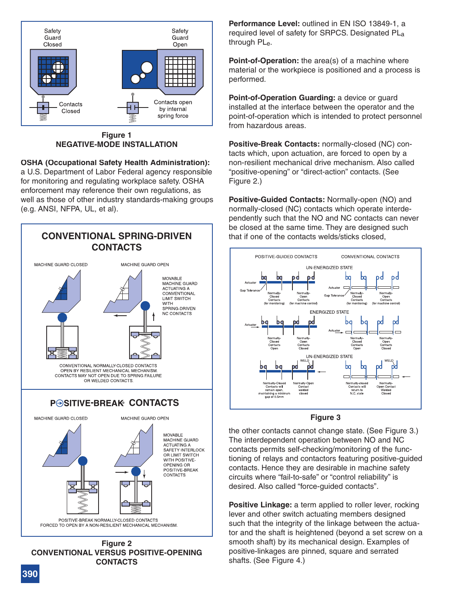

**Figure 1 NEGATIVE-MODE INSTALLATION**

# **OSHA (Occupational Safety Health Administration):**

a U.S. Department of Labor Federal agency responsible for monitoring and regulating workplace safety. OSHA enforcement may reference their own regulations, as well as those of other industry standards-making groups (e.g. ANSI, NFPA, UL, et al).



**CONVENTIONAL VERSUS POSITIVE-OPENING CONTACTS**

**Performance Level:** outlined in EN ISO 13849-1, a required level of safety for SRPCS. Designated PLa through PLe.

**Point-of-Operation:** the area(s) of a machine where material or the workpiece is positioned and a process is performed.

**Point-of-Operation Guarding:** a device or guard installed at the interface between the operator and the point-of-operation which is intended to protect personnel from hazardous areas.

**Positive-Break Contacts:** normally-closed (NC) contacts which, upon actuation, are forced to open by a non-resilient mechanical drive mechanism. Also called "positive-opening" or "direct-action" contacts. (See Figure 2.)

**Positive-Guided Contacts:** Normally-open (NO) and normally-closed (NC) contacts which operate interdependently such that the NO and NC contacts can never be closed at the same time. They are designed such that if one of the contacts welds/sticks closed,



#### **Figure 3**

the other contacts cannot change state. (See Figure 3.) The interdependent operation between NO and NC contacts permits self-checking/monitoring of the functioning of relays and contactors featuring positive-guided contacts. Hence they are desirable in machine safety circuits where "fail-to-safe" or "control reliability" is desired. Also called "force-guided contacts".

**Positive Linkage:** a term applied to roller lever, rocking lever and other switch actuating members designed such that the integrity of the linkage between the actua[tor and the shaft is heightened \(beyond a set screw on a](http://www.schmersalusa.com/cms17/opencms/html/en/index.html) smooth shaft) by its mechanical design. Examples of positive-linkages are pinned, square and serrated shafts. (See Figure 4.)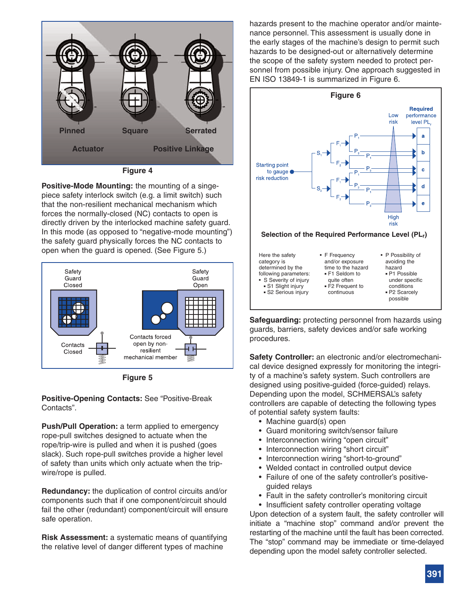

**Figure 4**

**Positive-Mode Mounting:** the mounting of a singepiece safety interlock switch (e.g. a limit switch) such that the non-resilient mechanical mechanism which forces the normally-closed (NC) contacts to open is directly driven by the interlocked machine safety guard. In this mode (as opposed to "negative-mode mounting") the safety guard physically forces the NC contacts to open when the guard is opened. (See Figure 5.)



**Figure 5**

**Positive-Opening Contacts:** See "Positive-Break Contacts".

**Push/Pull Operation:** a term applied to emergency rope-pull switches designed to actuate when the rope/trip-wire is pulled and when it is pushed (goes slack). Such rope-pull switches provide a higher level of safety than units which only actuate when the tripwire/rope is pulled.

**Redundancy:** the duplication of control circuits and/or components such that if one component/circuit should fail the other (redundant) component/circuit will ensure safe operation.

**Risk Assessment:** a systematic means of quantifying the relative level of danger different types of machine

hazards present to the machine operator and/or maintenance personnel. This assessment is usually done in the early stages of the machine's design to permit such hazards to be designed-out or alternatively determine the scope of the safety system needed to protect personnel from possible injury. One approach suggested in EN ISO 13849-1 is summarized in Figure 6.



**Safeguarding:** protecting personnel from hazards using guards, barriers, safety devices and/or safe working procedures.

**Safety Controller:** an electronic and/or electromechanical device designed expressly for monitoring the integrity of a machine's safety system. Such controllers are designed using positive-guided (force-guided) relays. Depending upon the model, SCHMERSAL's safety controllers are capable of detecting the following types of potential safety system faults:

- Machine guard(s) open
- Guard monitoring switch/sensor failure
- Interconnection wiring "open circuit"
- Interconnection wiring "short circuit"
- Interconnection wiring "short-to-ground"
- Welded contact in controlled output device
- Failure of one of the safety controller's positiveguided relays
- Fault in the safety controller's monitoring circuit

• Insufficient safety controller operating voltage Upon detection of a system fault, the safety controller will initiate a "machine stop" command and/or prevent the [restarting of the machine until the fault has been corrected.](http://www.schmersalusa.com/cms17/opencms/html/en/index.html) The "stop" command may be immediate or time-delayed depending upon the model safety controller selected.